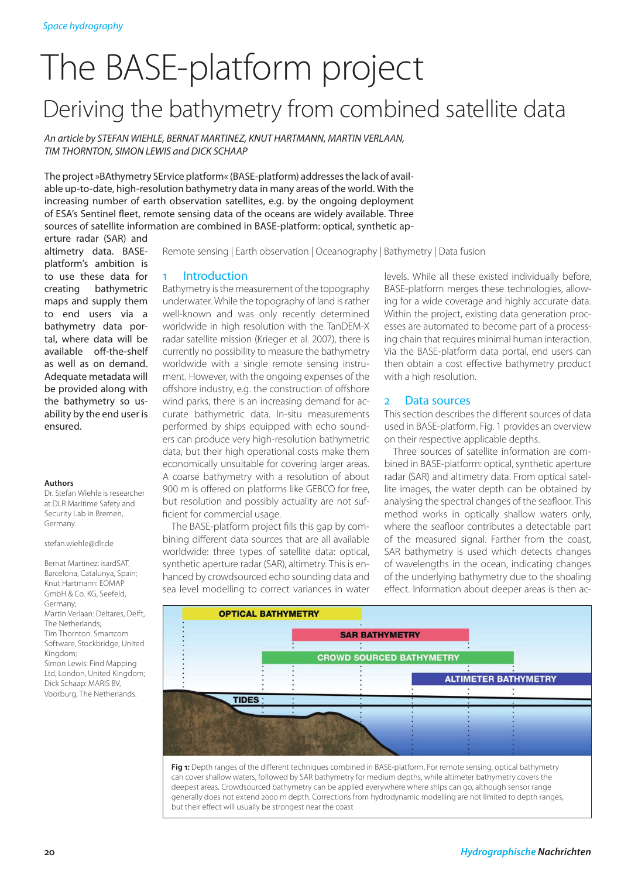# The BASE-platform project Deriving the bathymetry from combined satellite data

*An article by Stefan WIEHLE, Bernat MARTINEZ, Knut HART MANN, Martin VERLAA N, Tim THOR NTO N, Simon LEWIS and Dick SCHAA P* 

The project »BAthymetry SErvice platform« (BASE-platform) addresses the lack of available up-to-date, high-resolution bathymetry data in many areas of the world. With the increasing number of earth observation satellites, e.g. by the ongoing deployment of ESA's Sentinel fleet, remote sensing data of the oceans are widely available. Three sources of satellite information are combined in BASE-platform: optical, synthetic ap-

erture radar (SAR) and altimetry data. BASEplatform's ambition is to use these data for creating bathymetric maps and supply them to end users via a bathymetry data portal, where data will be available off-the-shelf as well as on demand. Adequate metadata will be provided along with the bathymetry so usability by the end user is ensured.

#### **Authors**

Dr. Stefan Wiehle is researcher at DLR Maritime Safety and Security Lab in Bremen, Germany.

stefan.wiehle@dlr.de

Bernat Martinez: isardSAT, Barcelona, Catalunya, Spain; Knut Hartmann: EOMAP GmbH & Co. KG, Seefeld, Germany; Martin Verlaan: Deltares, Delft, The Netherlands; Tim Thornton: Smartcom Software, Stockbridge, United Kingdom; Simon Lewis: Find Mapping Ltd, London, United Kingdom; Dick Schaap: MARIS BV, Voorburg, The Netherlands.

Remote sensing | Earth observation | Oceanography | Bathymetry | Data fusion

#### **Introduction**

Bathymetry is the measurement of the topography underwater. While the topography of land is rather well-known and was only recently determined worldwide in high resolution with the TanDEM-X radar satellite mission (Krieger et al. 2007), there is currently no possibility to measure the bathymetry worldwide with a single remote sensing instrument. However, with the ongoing expenses of the offshore industry, e.g. the construction of offshore wind parks, there is an increasing demand for accurate bathymetric data. In-situ measurements performed by ships equipped with echo sounders can produce very high-resolution bathymetric data, but their high operational costs make them economically unsuitable for covering larger areas. A coarse bathymetry with a resolution of about 900 m is offered on platforms like GEBCO for free, but resolution and possibly actuality are not sufficient for commercial usage.

The BASE-platform project fills this gap by combining different data sources that are all available worldwide: three types of satellite data: optical, synthetic aperture radar (SAR), altimetry. This is enhanced by crowdsourced echo sounding data and sea level modelling to correct variances in water

levels. While all these existed individually before, BASE-platform merges these technologies, allowing for a wide coverage and highly accurate data. Within the project, existing data generation processes are automated to become part of a processing chain that requires minimal human interaction. Via the BASE-platform data portal, end users can then obtain a cost effective bathymetry product with a high resolution.

## 2 Data sources

This section describes the different sources of data used in BASE-platform. Fig. 1 provides an overview on their respective applicable depths.

Three sources of satellite information are combined in BASE-platform: optical, synthetic aperture radar (SAR) and altimetry data. From optical satellite images, the water depth can be obtained by analysing the spectral changes of the seafloor. This method works in optically shallow waters only, where the seafloor contributes a detectable part of the measured signal. Farther from the coast, SAR bathymetry is used which detects changes of wavelengths in the ocean, indicating changes of the underlying bathymetry due to the shoaling effect. Information about deeper areas is then ac-



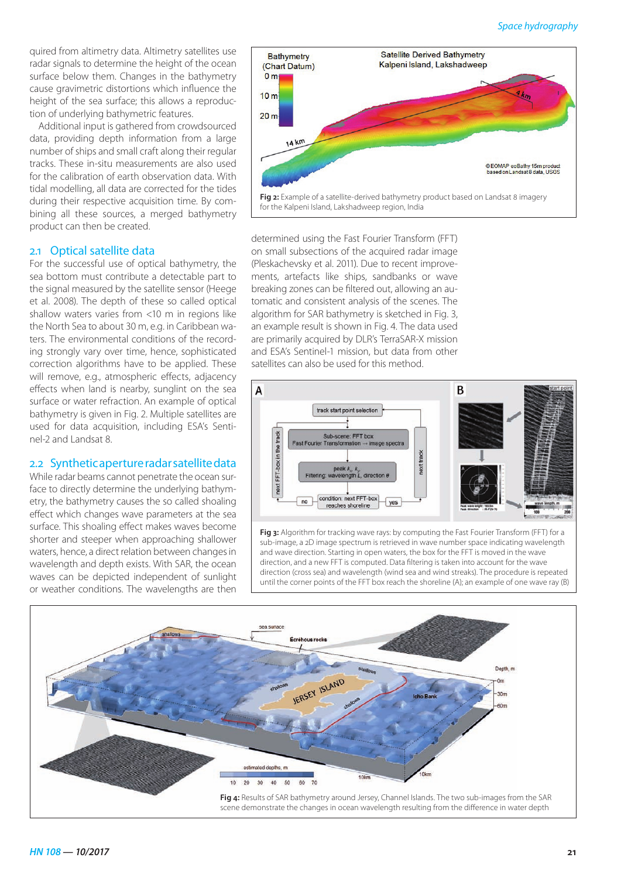quired from altimetry data. Altimetry satellites use radar signals to determine the height of the ocean surface below them. Changes in the bathymetry cause gravimetric distortions which influence the height of the sea surface; this allows a reproduction of underlying bathymetric features.

Additional input is gathered from crowdsourced data, providing depth information from a large number of ships and small craft along their regular tracks. These in-situ measurements are also used for the calibration of earth observation data. With tidal modelling, all data are corrected for the tides during their respective acquisition time. By combining all these sources, a merged bathymetry product can then be created.

# 2.1 Optical satellite data

For the successful use of optical bathymetry, the sea bottom must contribute a detectable part to the signal measured by the satellite sensor (Heege et al. 2008). The depth of these so called optical shallow waters varies from <10 m in regions like the North Sea to about 30 m, e.g. in Caribbean waters. The environmental conditions of the recording strongly vary over time, hence, sophisticated correction algorithms have to be applied. These will remove, e.g., atmospheric effects, adjacency effects when land is nearby, sunglint on the sea surface or water refraction. An example of optical bathymetry is given in Fig. 2. Multiple satellites are used for data acquisition, including ESA's Sentinel-2 and Landsat 8.

## 2.2 Synthetic aperture radar satellite data

While radar beams cannot penetrate the ocean surface to directly determine the underlying bathymetry, the bathymetry causes the so called shoaling effect which changes wave parameters at the sea surface. This shoaling effect makes waves become shorter and steeper when approaching shallower waters, hence, a direct relation between changes in wavelength and depth exists. With SAR, the ocean waves can be depicted independent of sunlight or weather conditions. The wavelengths are then



determined using the Fast Fourier Transform (FFT) on small subsections of the acquired radar image (Pleskachevsky et al. 2011). Due to recent improvements, artefacts like ships, sandbanks or wave breaking zones can be filtered out, allowing an automatic and consistent analysis of the scenes. The algorithm for SAR bathymetry is sketched in Fig. 3, an example result is shown in Fig. 4. The data used are primarily acquired by DLR's TerraSAR-X mission and ESA's Sentinel-1 mission, but data from other satellites can also be used for this method.



**Fig 3:** Algorithm for tracking wave rays: by computing the Fast Fourier Transform (FFT) for a sub-image, a 2D image spectrum is retrieved in wave number space indicating wavelength and wave direction. Starting in open waters, the box for the FFT is moved in the wave direction, and a new FFT is computed. Data filtering is taken into account for the wave direction (cross sea) and wavelength (wind sea and wind streaks). The procedure is repeated until the corner points of the FFT box reach the shoreline (A); an example of one wave ray (B)

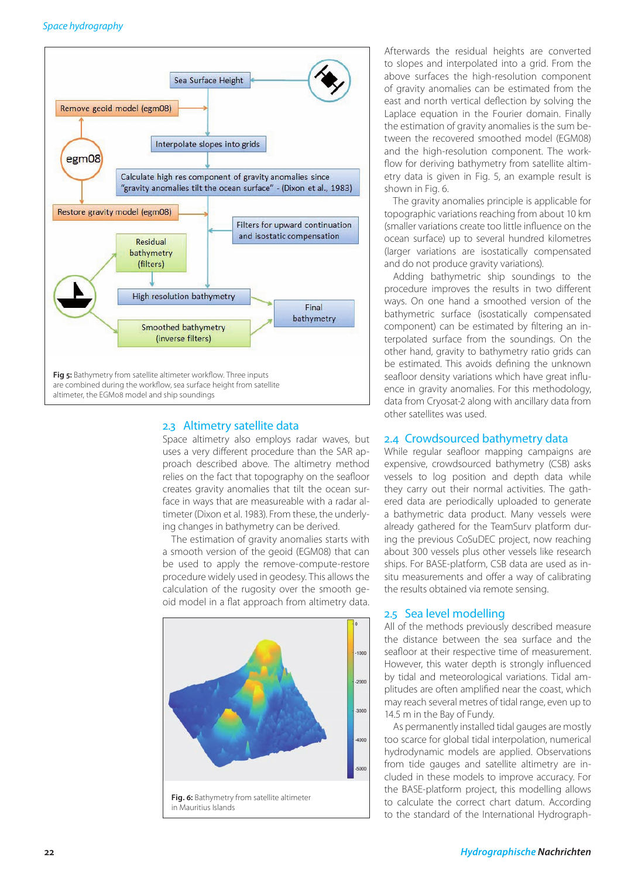

# 2.3 Altimetry satellite data

Space altimetry also employs radar waves, but uses a very different procedure than the SAR approach described above. The altimetry method relies on the fact that topography on the seafloor creates gravity anomalies that tilt the ocean surface in ways that are measureable with a radar altimeter (Dixon et al. 1983). From these, the underlying changes in bathymetry can be derived.

The estimation of gravity anomalies starts with a smooth version of the geoid (EGM08) that can be used to apply the remove-compute-restore procedure widely used in geodesy. This allows the calculation of the rugosity over the smooth geoid model in a flat approach from altimetry data.



Afterwards the residual heights are converted to slopes and interpolated into a grid. From the above surfaces the high-resolution component of gravity anomalies can be estimated from the east and north vertical deflection by solving the Laplace equation in the Fourier domain. Finally the estimation of gravity anomalies is the sum between the recovered smoothed model (EGM08) and the high-resolution component. The workflow for deriving bathymetry from satellite altimetry data is given in Fig. 5, an example result is shown in Fig. 6.

The gravity anomalies principle is applicable for topographic variations reaching from about 10 km (smaller variations create too little influence on the ocean surface) up to several hundred kilometres (larger variations are isostatically compensated and do not produce gravity variations).

Adding bathymetric ship soundings to the procedure improves the results in two different ways. On one hand a smoothed version of the bathymetric surface (isostatically compensated component) can be estimated by filtering an interpolated surface from the soundings. On the other hand, gravity to bathymetry ratio grids can be estimated. This avoids defining the unknown seafloor density variations which have great influence in gravity anomalies. For this methodology, data from Cryosat-2 along with ancillary data from other satellites was used.

## 2.4 Crowdsourced bathymetry data

While regular seafloor mapping campaigns are expensive, crowdsourced bathymetry (CSB) asks vessels to log position and depth data while they carry out their normal activities. The gathered data are periodically uploaded to generate a bathymetric data product. Many vessels were already gathered for the TeamSurv platform during the previous CoSuDEC project, now reaching about 300 vessels plus other vessels like research ships. For BASE-platform, CSB data are used as insitu measurements and offer a way of calibrating the results obtained via remote sensing.

# 2.5 Sea level modelling

All of the methods previously described measure the distance between the sea surface and the seafloor at their respective time of measurement. However, this water depth is strongly influenced by tidal and meteorological variations. Tidal amplitudes are often amplified near the coast, which may reach several metres of tidal range, even up to 14.5 m in the Bay of Fundy.

As permanently installed tidal gauges are mostly too scarce for global tidal interpolation, numerical hydrodynamic models are applied. Observations from tide gauges and satellite altimetry are included in these models to improve accuracy. For the BASE-platform project, this modelling allows to calculate the correct chart datum. According to the standard of the International Hydrograph